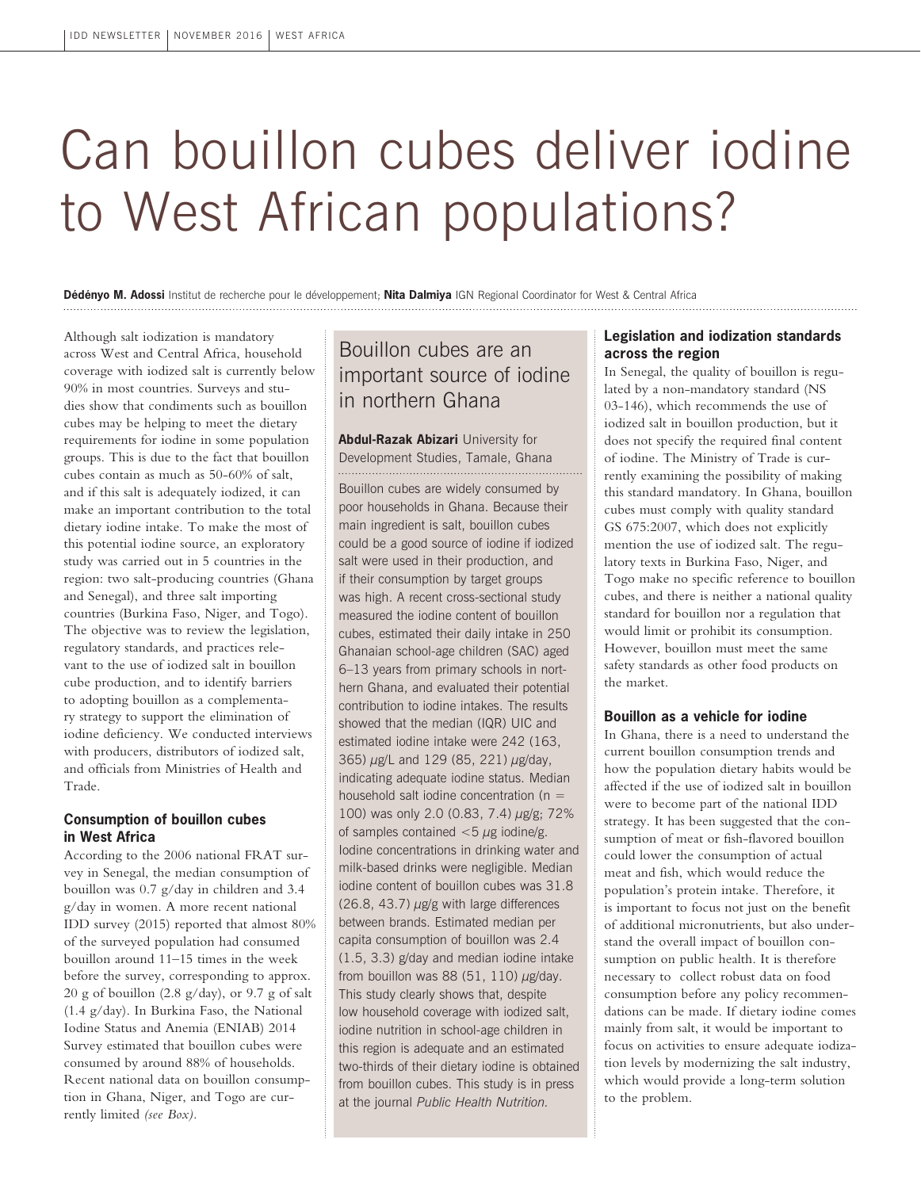# Can bouillon cubes deliver iodine to West African populations?

**Dédényo M. Adossi** Institut de recherche pour le développement; **Nita Dalmiya** IGN Regional Coordinator for West & Central Africa

Although salt iodization is mandatory across West and Central Africa, household coverage with iodized salt is currently below 90% in most countries. Surveys and studies show that condiments such as bouillon cubes may be helping to meet the dietary requirements for iodine in some population groups. This is due to the fact that bouillon cubes contain as much as 50-60% of salt, and if this salt is adequately iodized, it can make an important contribution to the total dietary iodine intake. To make the most of this potential iodine source, an exploratory study was carried out in 5 countries in the region: two salt-producing countries (Ghana and Senegal), and three salt importing countries (Burkina Faso, Niger, and Togo). The objective was to review the legislation, regulatory standards, and practices relevant to the use of iodized salt in bouillon cube production, and to identify barriers to adopting bouillon as a complementary strategy to support the elimination of iodine deficiency. We conducted interviews with producers, distributors of iodized salt, and officials from Ministries of Health and Trade.

# **Consumption of bouillon cubes in West Africa**

According to the 2006 national FRAT survey in Senegal, the median consumption of bouillon was 0.7 g/day in children and 3.4 g/day in women. A more recent national IDD survey (2015) reported that almost 80% of the surveyed population had consumed bouillon around 11–15 times in the week before the survey, corresponding to approx. 20 g of bouillon (2.8 g/day), or 9.7 g of salt (1.4 g/day). In Burkina Faso, the National Iodine Status and Anemia (ENIAB) 2014 Survey estimated that bouillon cubes were consumed by around 88% of households. Recent national data on bouillon consumption in Ghana, Niger, and Togo are currently limited *(see Box).*

# Bouillon cubes are an important source of iodine in northern Ghana

**Abdul-Razak Abizari University for** Development Studies, Tamale, Ghana Bouillon cubes are widely consumed by poor households in Ghana. Because their main ingredient is salt, bouillon cubes could be a good source of iodine if iodized salt were used in their production, and if their consumption by target groups was high. A recent cross-sectional study measured the iodine content of bouillon cubes, estimated their daily intake in 250 Ghanaian school-age children (SAC) aged 6–13 years from primary schools in northern Ghana, and evaluated their potential contribution to iodine intakes. The results showed that the median (IQR) UIC and estimated iodine intake were 242 (163, 365) µg/L and 129 (85, 221) µg/day, indicating adequate iodine status. Median household salt iodine concentration ( $n =$ 100) was only 2.0 (0.83, 7.4) µg/g; 72% of samples contained  $<$  5  $\mu$ g iodine/g. Iodine concentrations in drinking water and milk-based drinks were negligible. Median iodine content of bouillon cubes was 31.8  $(26.8, 43.7)$   $\mu$ g/g with large differences between brands. Estimated median per capita consumption of bouillon was 2.4 (1.5, 3.3) g/day and median iodine intake from bouillon was 88 (51, 110)  $\mu$ g/day. This study clearly shows that, despite low household coverage with iodized salt, iodine nutrition in school-age children in this region is adequate and an estimated two-thirds of their dietary iodine is obtained from bouillon cubes. This study is in press at the journal *Public Health Nutrition.* 

## **Legislation and iodization standards across the region**

In Senegal, the quality of bouillon is regulated by a non-mandatory standard (NS 03-146), which recommends the use of iodized salt in bouillon production, but it does not specify the required final content of iodine. The Ministry of Trade is currently examining the possibility of making this standard mandatory. In Ghana, bouillon cubes must comply with quality standard GS 675:2007, which does not explicitly mention the use of iodized salt. The regulatory texts in Burkina Faso, Niger, and Togo make no specific reference to bouillon cubes, and there is neither a national quality standard for bouillon nor a regulation that would limit or prohibit its consumption. However, bouillon must meet the same safety standards as other food products on the market.

#### **Bouillon as a vehicle for iodine**

In Ghana, there is a need to understand the current bouillon consumption trends and how the population dietary habits would be affected if the use of iodized salt in bouillon were to become part of the national IDD strategy. It has been suggested that the consumption of meat or fish-flavored bouillon could lower the consumption of actual meat and fish, which would reduce the population's protein intake. Therefore, it is important to focus not just on the benefit of additional micronutrients, but also understand the overall impact of bouillon consumption on public health. It is therefore necessary to collect robust data on food consumption before any policy recommendations can be made. If dietary iodine comes mainly from salt, it would be important to focus on activities to ensure adequate iodization levels by modernizing the salt industry, which would provide a long-term solution to the problem.